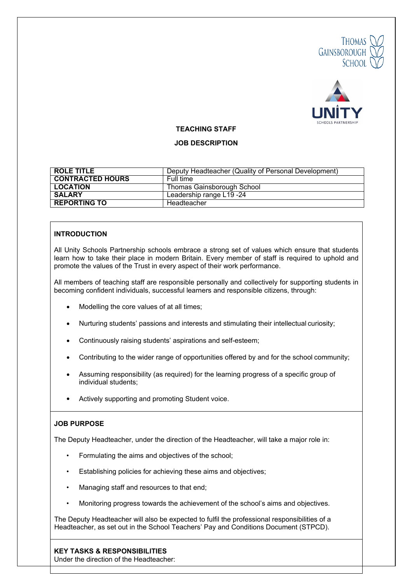



#### **TEACHING STAFF**

#### **JOB DESCRIPTION**

| ROLE TITLE              | Deputy Headteacher (Quality of Personal Development)<br>Full time |  |
|-------------------------|-------------------------------------------------------------------|--|
| <b>CONTRACTED HOURS</b> |                                                                   |  |
| <b>LOCATION</b>         | Thomas Gainsborough School                                        |  |
| <b>SALARY</b>           | Leadership range L19 -24                                          |  |
| <b>REPORTING TO</b>     | Headteacher                                                       |  |

## **INTRODUCTION**

All Unity Schools Partnership schools embrace a strong set of values which ensure that students learn how to take their place in modern Britain. Every member of staff is required to uphold and promote the values of the Trust in every aspect of their work performance.

All members of teaching staff are responsible personally and collectively for supporting students in becoming confident individuals, successful learners and responsible citizens, through:

- Modelling the core values of at all times;
- Nurturing students' passions and interests and stimulating their intellectual curiosity;
- Continuously raising students' aspirations and self-esteem;
- Contributing to the wider range of opportunities offered by and for the school community;
- Assuming responsibility (as required) for the learning progress of a specific group of individual students;
- Actively supporting and promoting Student voice.

## **JOB PURPOSE**

The Deputy Headteacher, under the direction of the Headteacher, will take a major role in:

- Formulating the aims and objectives of the school;
- Establishing policies for achieving these aims and objectives;
- Managing staff and resources to that end;
- Monitoring progress towards the achievement of the school's aims and objectives.

 The Deputy Headteacher will also be expected to fulfil the professional responsibilities of a Headteacher, as set out in the School Teachers' Pay and Conditions Document (STPCD).

## **KEY TASKS & RESPONSIBILITIES**

Under the direction of the Headteacher: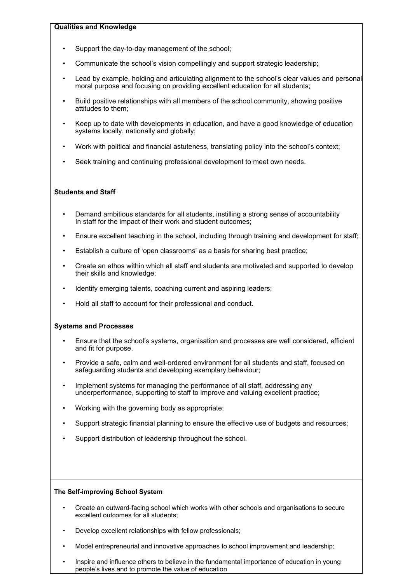#### **Qualities and Knowledge**

- Support the day-to-day management of the school;
- Communicate the school's vision compellingly and support strategic leadership;
- Lead by example, holding and articulating alignment to the school's clear values and personal moral purpose and focusing on providing excellent education for all students;
- Build positive relationships with all members of the school community, showing positive attitudes to them;
- Keep up to date with developments in education, and have a good knowledge of education systems locally, nationally and globally;
- Work with political and financial astuteness, translating policy into the school's context;
- Seek training and continuing professional development to meet own needs.

## **Students and Staff**

- Demand ambitious standards for all students, instilling a strong sense of accountability In staff for the impact of their work and student outcomes;
- Ensure excellent teaching in the school, including through training and development for staff;
- Establish a culture of 'open classrooms' as a basis for sharing best practice;
- Create an ethos within which all staff and students are motivated and supported to develop their skills and knowledge;
- Identify emerging talents, coaching current and aspiring leaders;
- Hold all staff to account for their professional and conduct.

#### **Systems and Processes**

- Ensure that the school's systems, organisation and processes are well considered, efficient and fit for purpose.
- Provide a safe, calm and well-ordered environment for all students and staff, focused on safeguarding students and developing exemplary behaviour;
- Implement systems for managing the performance of all staff, addressing any underperformance, supporting to staff to improve and valuing excellent practice;
- Working with the governing body as appropriate;
- Support strategic financial planning to ensure the effective use of budgets and resources;
- Support distribution of leadership throughout the school.

#### **The Self-improving School System**

- Create an outward-facing school which works with other schools and organisations to secure excellent outcomes for all students;
- Develop excellent relationships with fellow professionals;
- Model entrepreneurial and innovative approaches to school improvement and leadership;
- Inspire and influence others to believe in the fundamental importance of education in young people's lives and to promote the value of education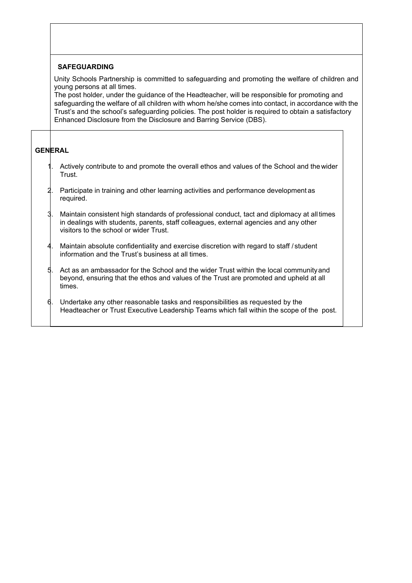## **SAFEGUARDING**

Unity Schools Partnership is committed to safeguarding and promoting the welfare of children and young persons at all times.

 The post holder, under the guidance of the Headteacher, will be responsible for promoting and safeguarding the welfare of all children with whom he/she comes into contact, in accordance with the Trust's and the school's safeguarding policies. The post holder is required to obtain a satisfactory Enhanced Disclosure from the Disclosure and Barring Service (DBS).

# **GENERAL**

- Actively contribute to and promote the overall ethos and values of the School and the wider Trust.
- 2. Participate in training and other learning activities and performance development as required.
- 3. Maintain consistent high standards of professional conduct, tact and diplomacy at all times in dealings with students, parents, staff colleagues, external agencies and any other visitors to the school or wider Trust.
- Maintain absolute confidentiality and exercise discretion with regard to staff / student information and the Trust's business at all times.
- 5. Act as an ambassador for the School and the wider Trust within the local community and beyond, ensuring that the ethos and values of the Trust are promoted and upheld at all times.
- Undertake any other reasonable tasks and responsibilities as requested by the Headteacher or Trust Executive Leadership Teams which fall within the scope of the post.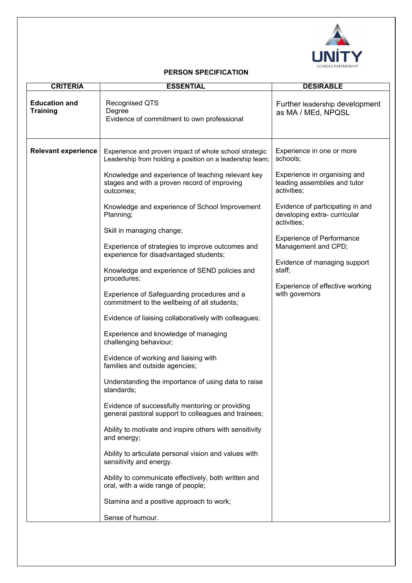

# **PERSON SPECIFICATION**

| <b>Education and</b><br><b>Training</b> | <b>Recognised QTS</b>                                                                                                                                                                                                                                                                                                                                                                                                                                                                                                                                                                                                                                                                                                                                                                                                                                                                                                                                                                                                                                                                                                                             |                                                                                                                                                                                                                                                                                                                                                                  |
|-----------------------------------------|---------------------------------------------------------------------------------------------------------------------------------------------------------------------------------------------------------------------------------------------------------------------------------------------------------------------------------------------------------------------------------------------------------------------------------------------------------------------------------------------------------------------------------------------------------------------------------------------------------------------------------------------------------------------------------------------------------------------------------------------------------------------------------------------------------------------------------------------------------------------------------------------------------------------------------------------------------------------------------------------------------------------------------------------------------------------------------------------------------------------------------------------------|------------------------------------------------------------------------------------------------------------------------------------------------------------------------------------------------------------------------------------------------------------------------------------------------------------------------------------------------------------------|
|                                         | Degree<br>Evidence of commitment to own professional                                                                                                                                                                                                                                                                                                                                                                                                                                                                                                                                                                                                                                                                                                                                                                                                                                                                                                                                                                                                                                                                                              | Further leadership development<br>as MA / MEd, NPQSL                                                                                                                                                                                                                                                                                                             |
| <b>Relevant experience</b>              | Experience and proven impact of whole school strategic<br>Leadership from holding a position on a leadership team;<br>Knowledge and experience of teaching relevant key<br>stages and with a proven record of improving<br>outcomes;<br>Knowledge and experience of School Improvement<br>Planning;<br>Skill in managing change;<br>Experience of strategies to improve outcomes and<br>experience for disadvantaged students;<br>Knowledge and experience of SEND policies and<br>procedures;<br>Experience of Safeguarding procedures and a<br>commitment to the wellbeing of all students;<br>Evidence of liaising collaboratively with colleagues;<br>Experience and knowledge of managing<br>challenging behaviour;<br>Evidence of working and liaising with<br>families and outside agencies;<br>Understanding the importance of using data to raise<br>standards;<br>Evidence of successfully mentoring or providing<br>general pastoral support to colleagues and trainees;<br>Ability to motivate and inspire others with sensitivity<br>and energy;<br>Ability to articulate personal vision and values with<br>sensitivity and energy. | Experience in one or more<br>schools;<br>Experience in organising and<br>leading assemblies and tutor<br>activities;<br>Evidence of participating in and<br>developing extra-curricular<br>activities;<br><b>Experience of Performance</b><br>Management and CPD;<br>Evidence of managing support<br>staff;<br>Experience of effective working<br>with governors |